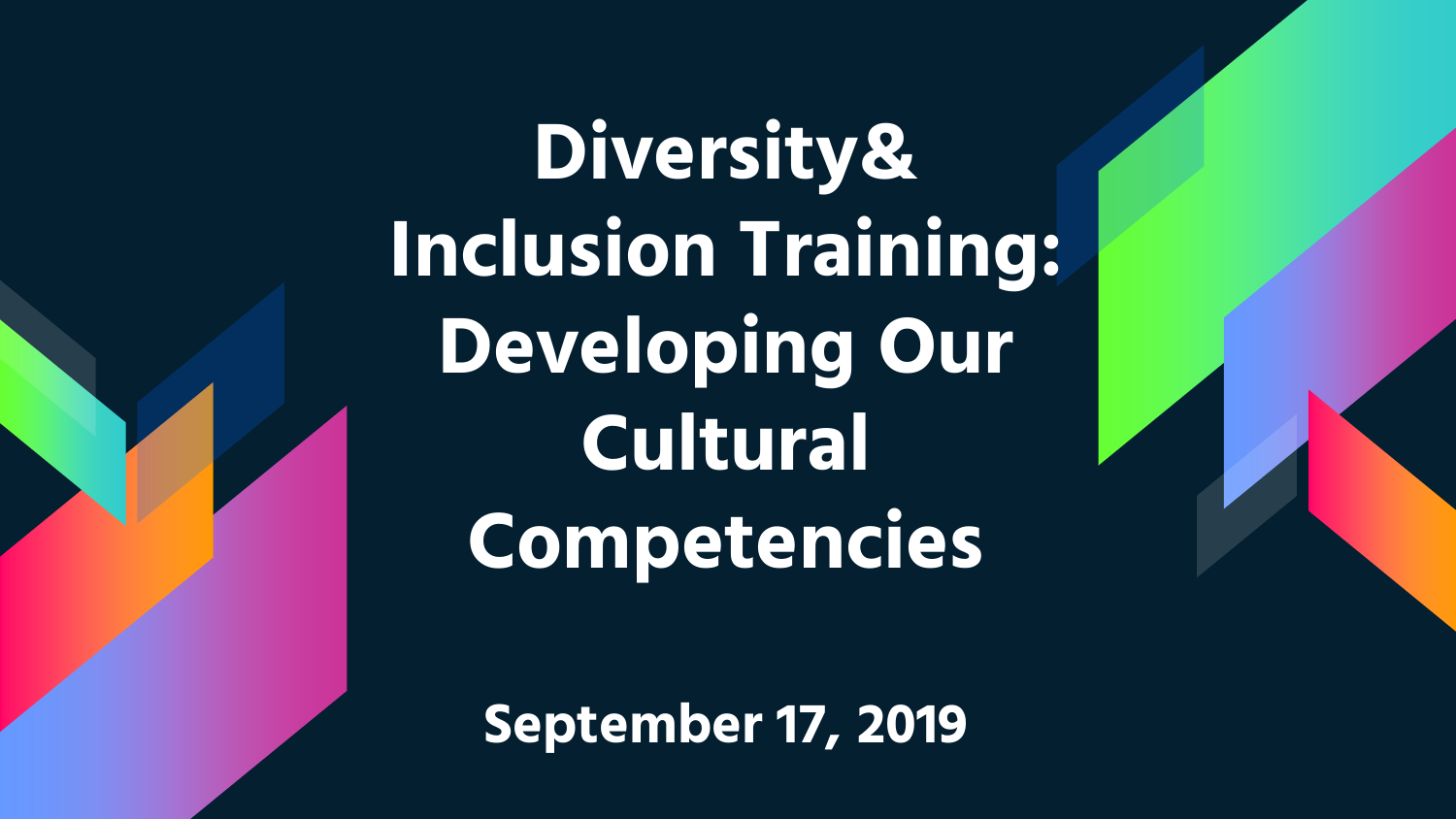**Diversity& Inclusion Training: Developing Our Cultural Competencies**

**September 17, 2019**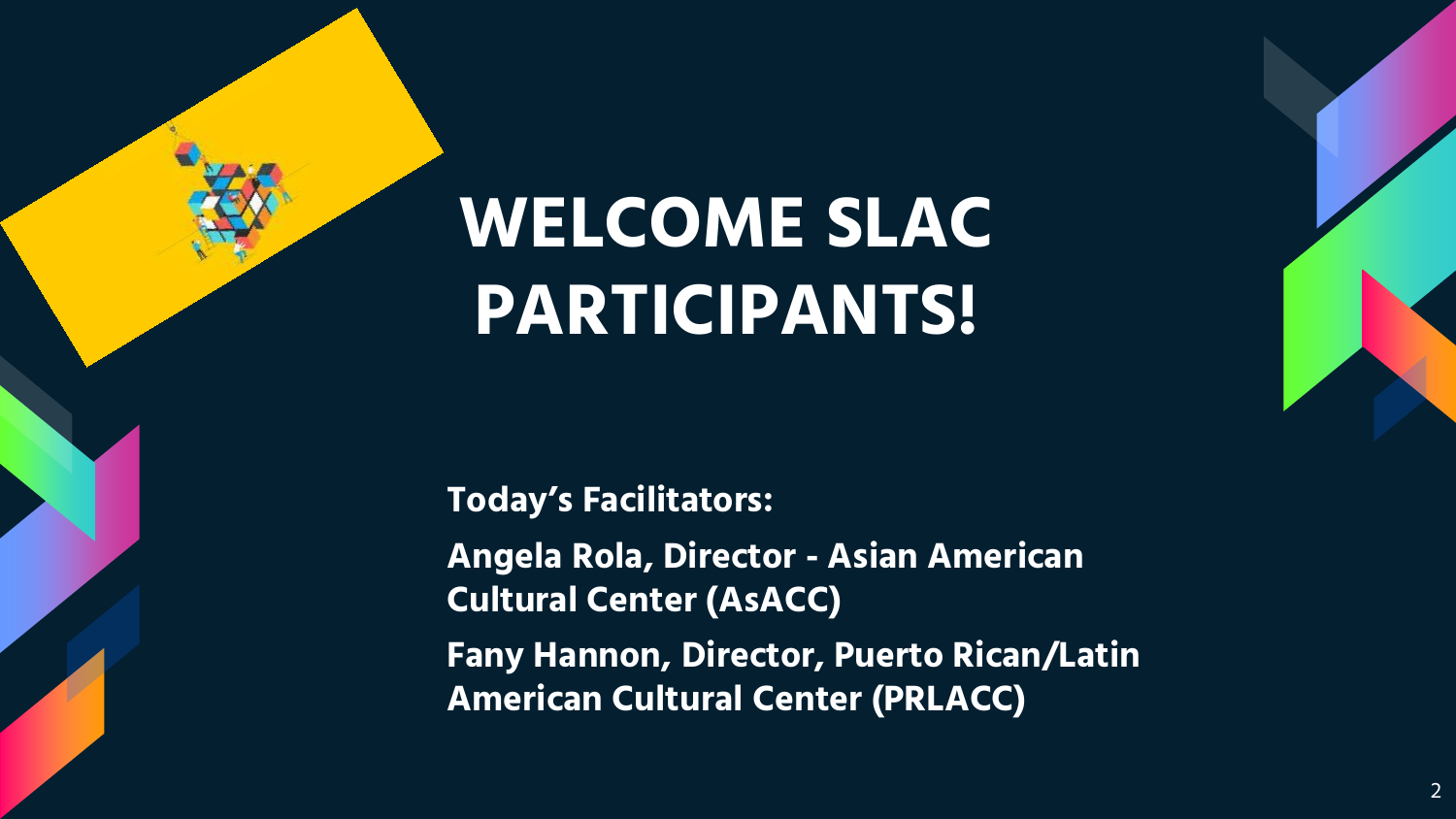# **WELCOME SLAC PARTICIPANTS!**



**Today's Facilitators: Angela Rola, Director - Asian American Cultural Center (AsACC) Fany Hannon, Director, Puerto Rican/Latin American Cultural Center (PRLACC)**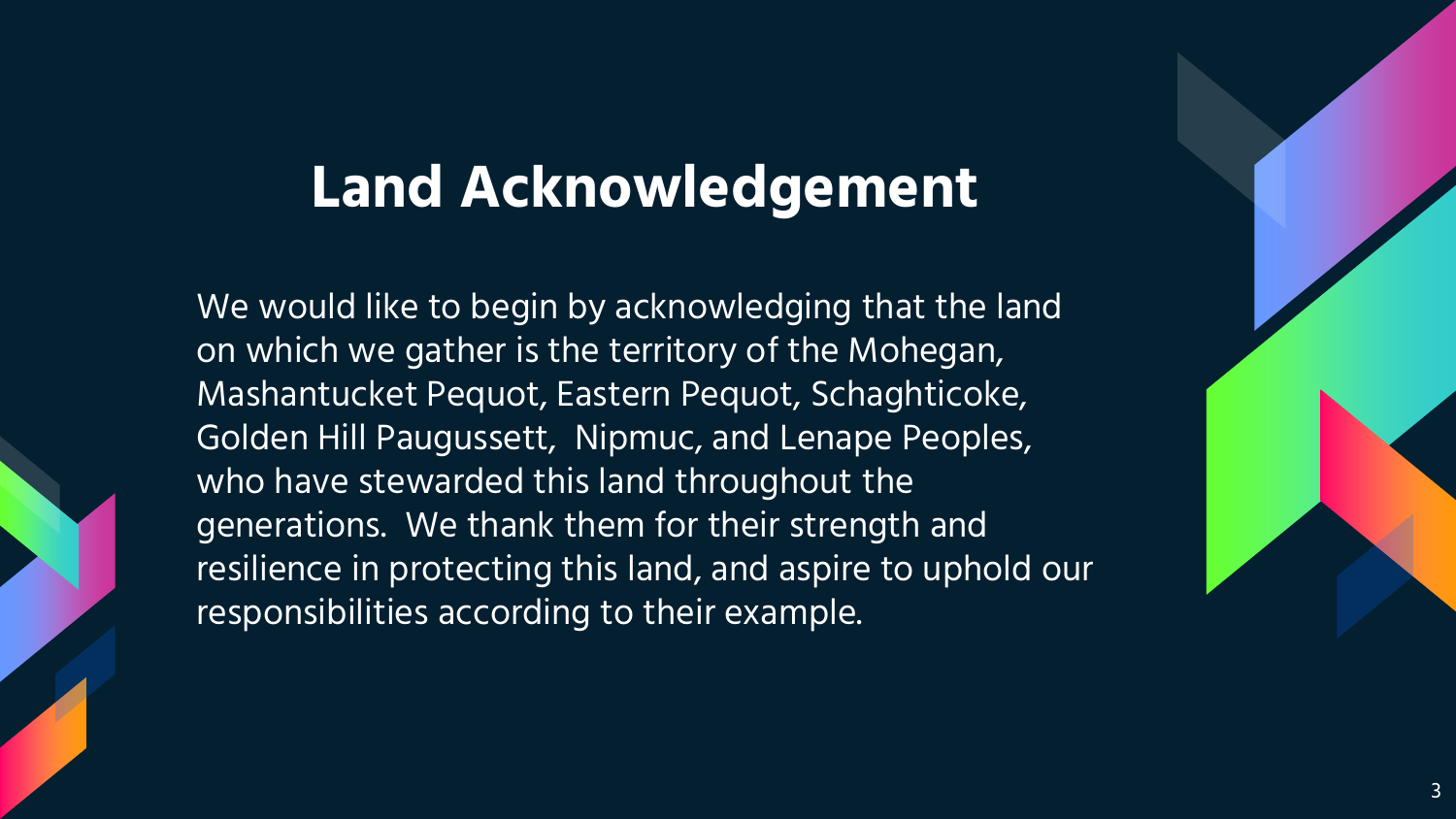#### **Land Acknowledgement**

We would like to begin by acknowledging that the land on which we gather is the territory of the Mohegan, Mashantucket Pequot, Eastern Pequot, Schaghticoke, Golden Hill Paugussett, Nipmuc, and Lenape Peoples, who have stewarded this land throughout the generations. We thank them for their strength and resilience in protecting this land, and aspire to uphold our responsibilities according to their example.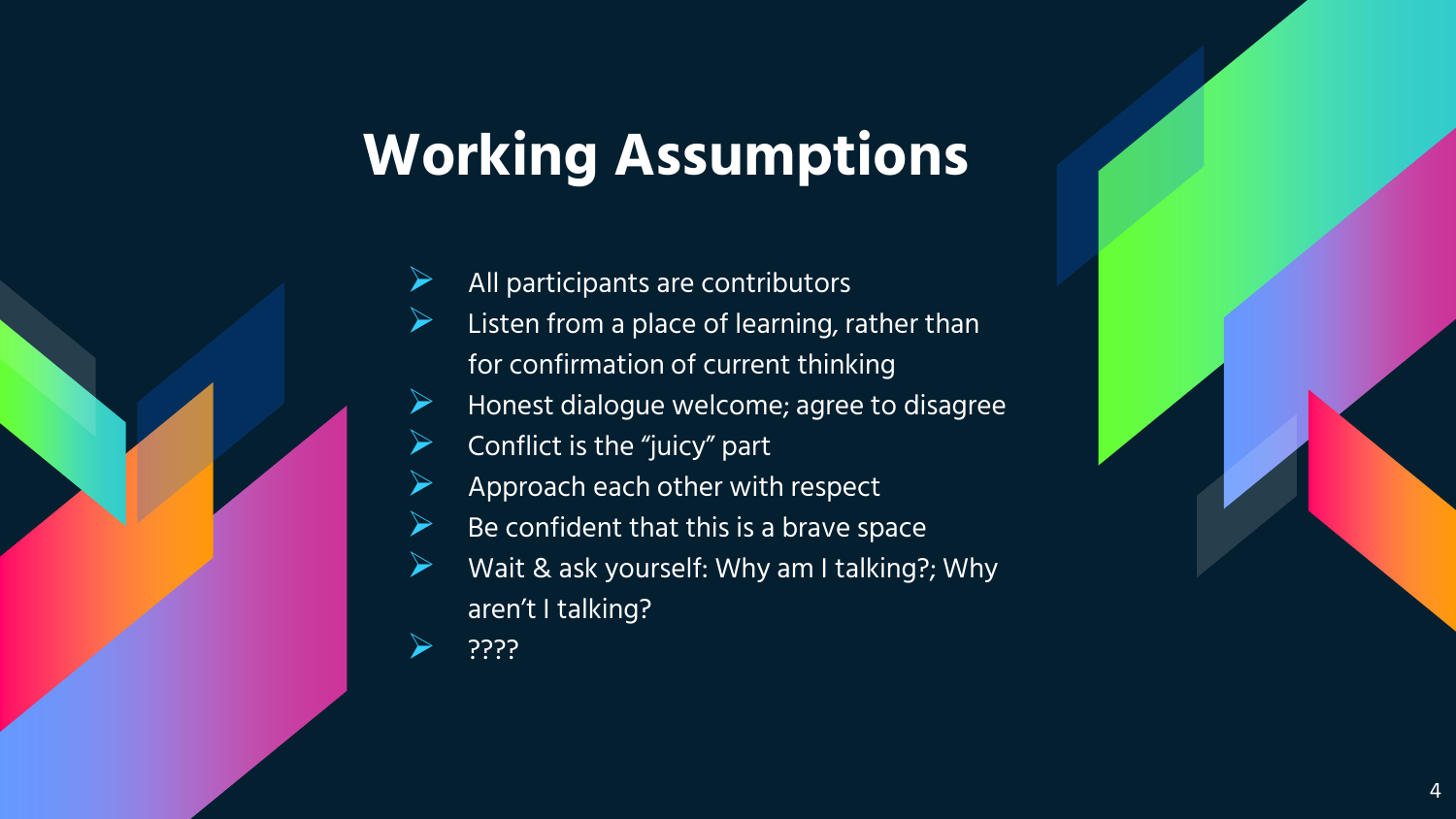## **Working Assumptions**



- Listen from a place of learning, rather than for confirmation of current thinking
- Honest dialogue welcome; agree to disagree
- Conflict is the "juicy" part
- Approach each other with respect
- Be confident that this is a brave space
- Wait & ask yourself: Why am I talking?; Why aren't I talking?
- ????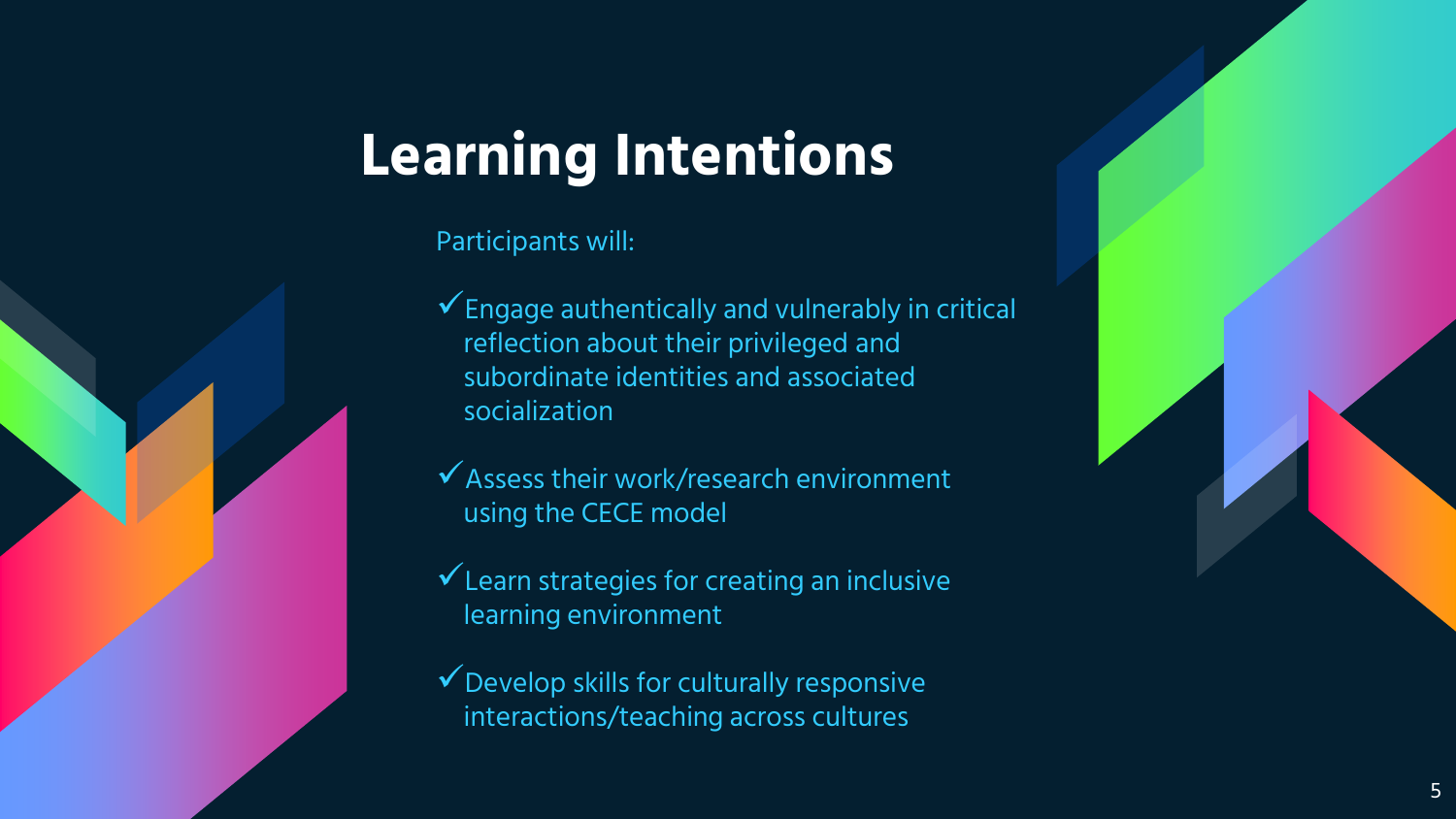## **Learning Intentions**

#### Participants will:

- $\checkmark$  Engage authentically and vulnerably in critical reflection about their privileged and subordinate identities and associated socialization
- $\checkmark$  Assess their work/research environment using the CECE model
- $\checkmark$  Learn strategies for creating an inclusive learning environment
- $\checkmark$  Develop skills for culturally responsive interactions/teaching across cultures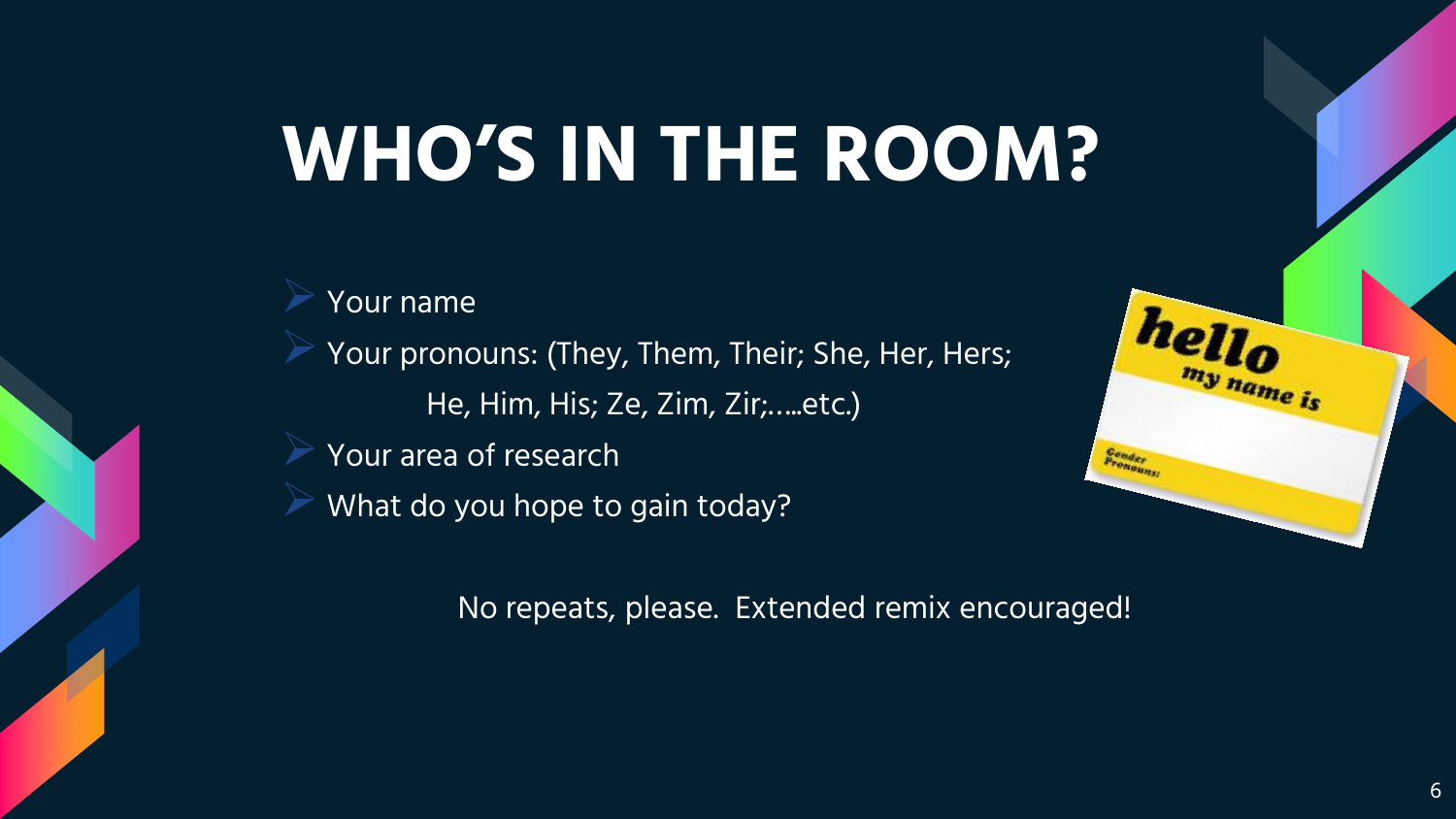# **WHO'S IN THE ROOM?**

Your name

Your pronouns: (They, Them, Their; She, Her, Hers; He, Him, His; Ze, Zim, Zir;…..etc.)

- Your area of research
- What do you hope to gain today?



No repeats, please. Extended remix encouraged!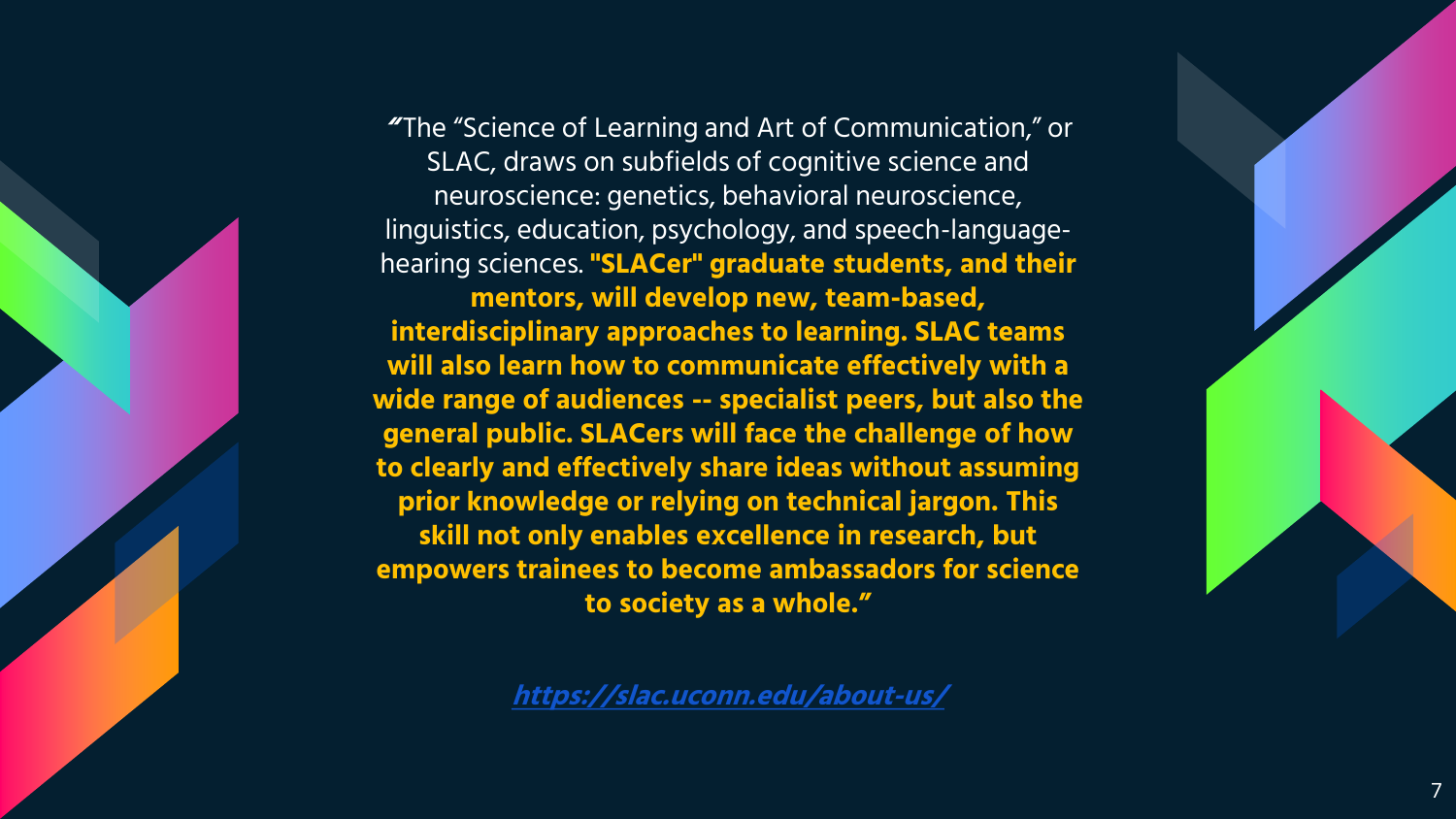

**"** The "Science of Learning and Art of Communication," or SLAC, draws on subfields of cognitive science and neuroscience: genetics, behavioral neuroscience, linguistics, education, psychology, and speech-languagehearing sciences. **"SLACer" graduate students, and their mentors, will develop new, team-based, interdisciplinary approaches to learning. SLAC teams will also learn how to communicate effectively with a wide range of audiences -- specialist peers, but also the general public. SLACers will face the challenge of how to clearly and effectively share ideas without assuming prior knowledge or relying on technical jargon. This skill not only enables excellence in research, but empowers trainees to become ambassadors for science to society as a whole."**

**<https://slac.uconn.edu/about-us/>**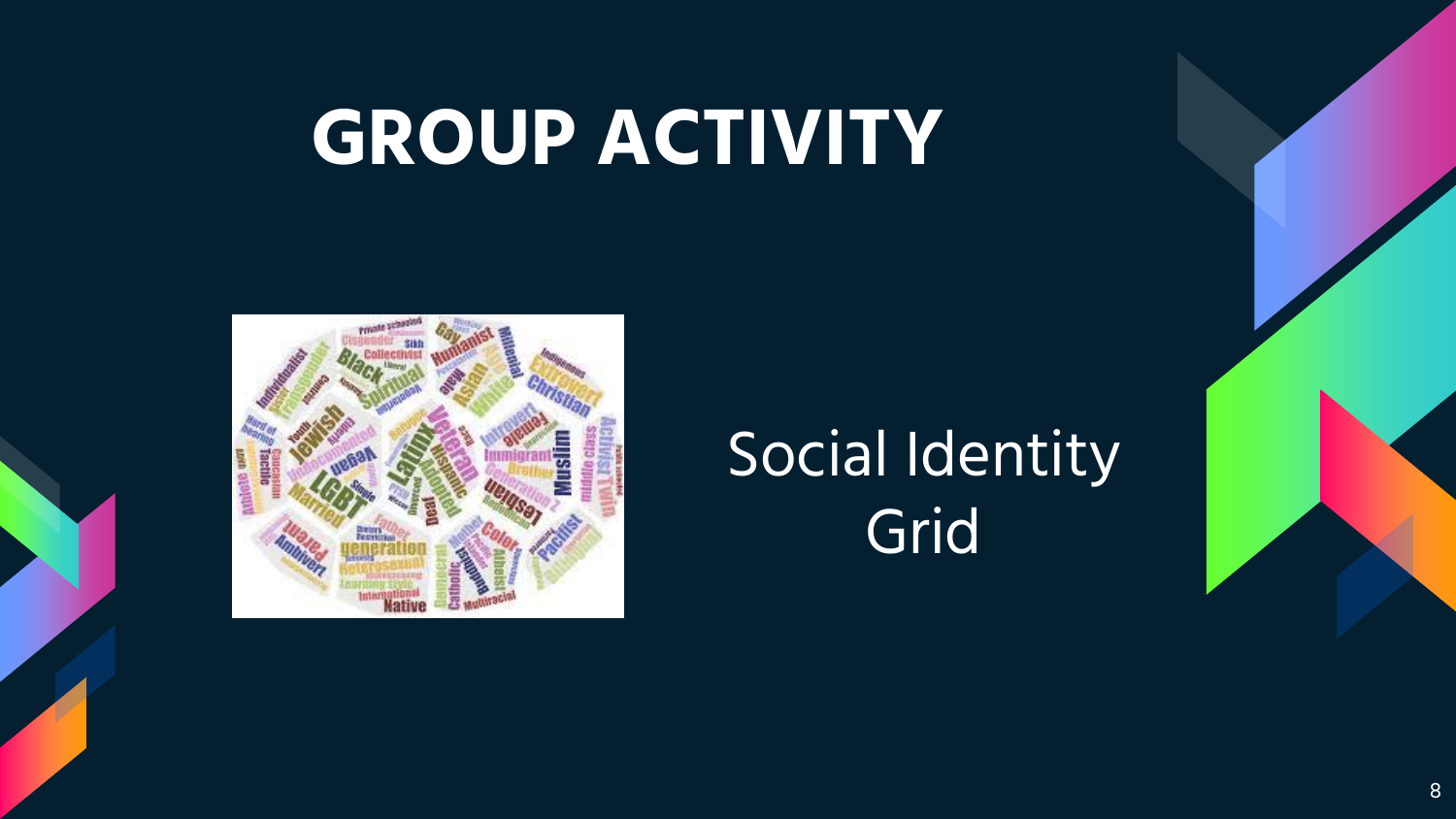# **GROUP ACTIVITY**



## Social Identity Grid

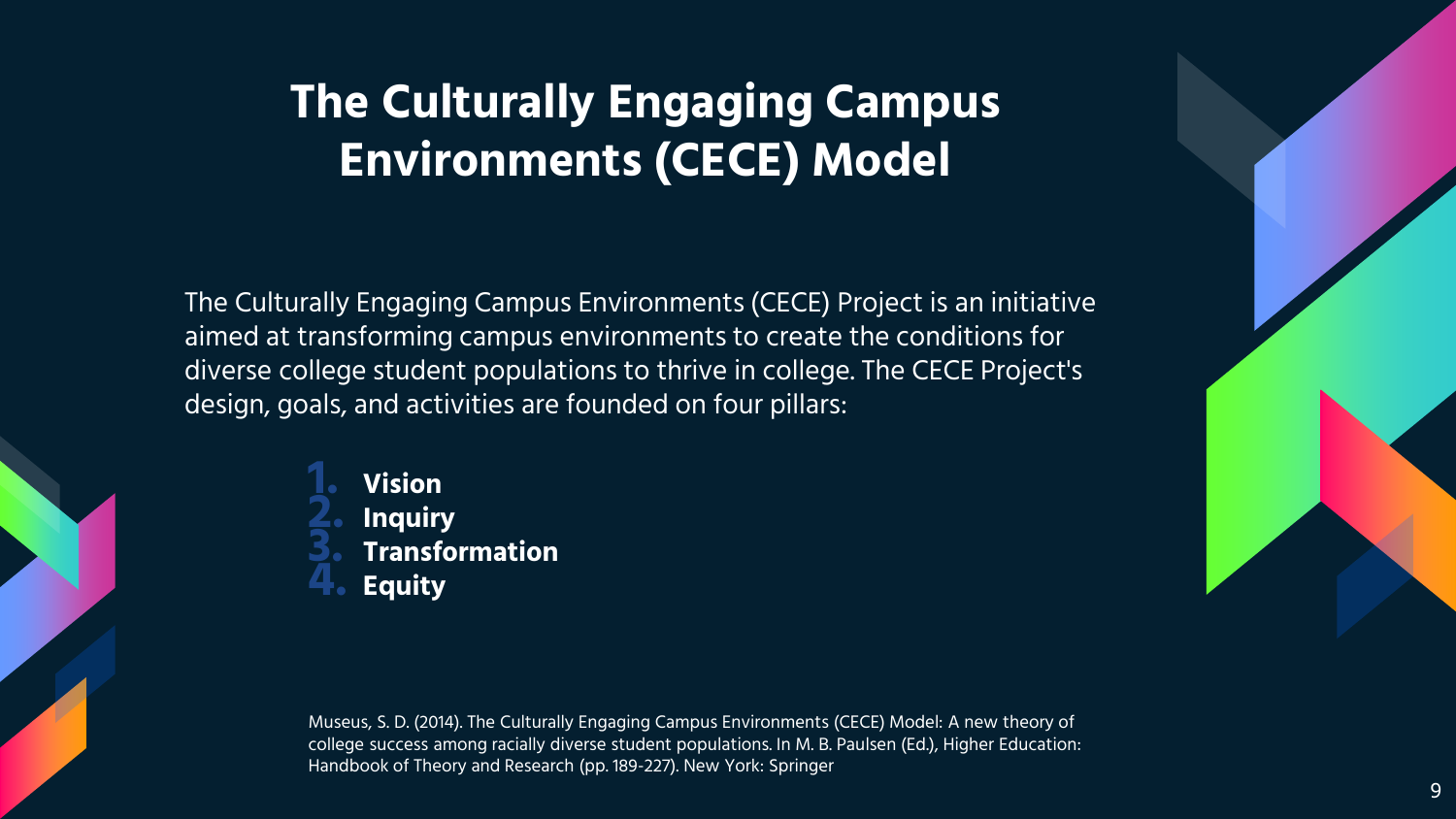#### **The Culturally Engaging Campus Environments (CECE) Model**

The Culturally Engaging Campus Environments (CECE) Project is an initiative aimed at transforming campus environments to create the conditions for diverse college student populations to thrive in college. The CECE Project's design, goals, and activities are founded on four pillars:

> **1. Vision 2. Inquiry 3. Transformation 4. Equity**

Museus, S. D. (2014). The Culturally Engaging Campus Environments (CECE) Model: A new theory of college success among racially diverse student populations. In M. B. Paulsen (Ed.), Higher Education: Handbook of Theory and Research (pp. 189-227). New York: Springer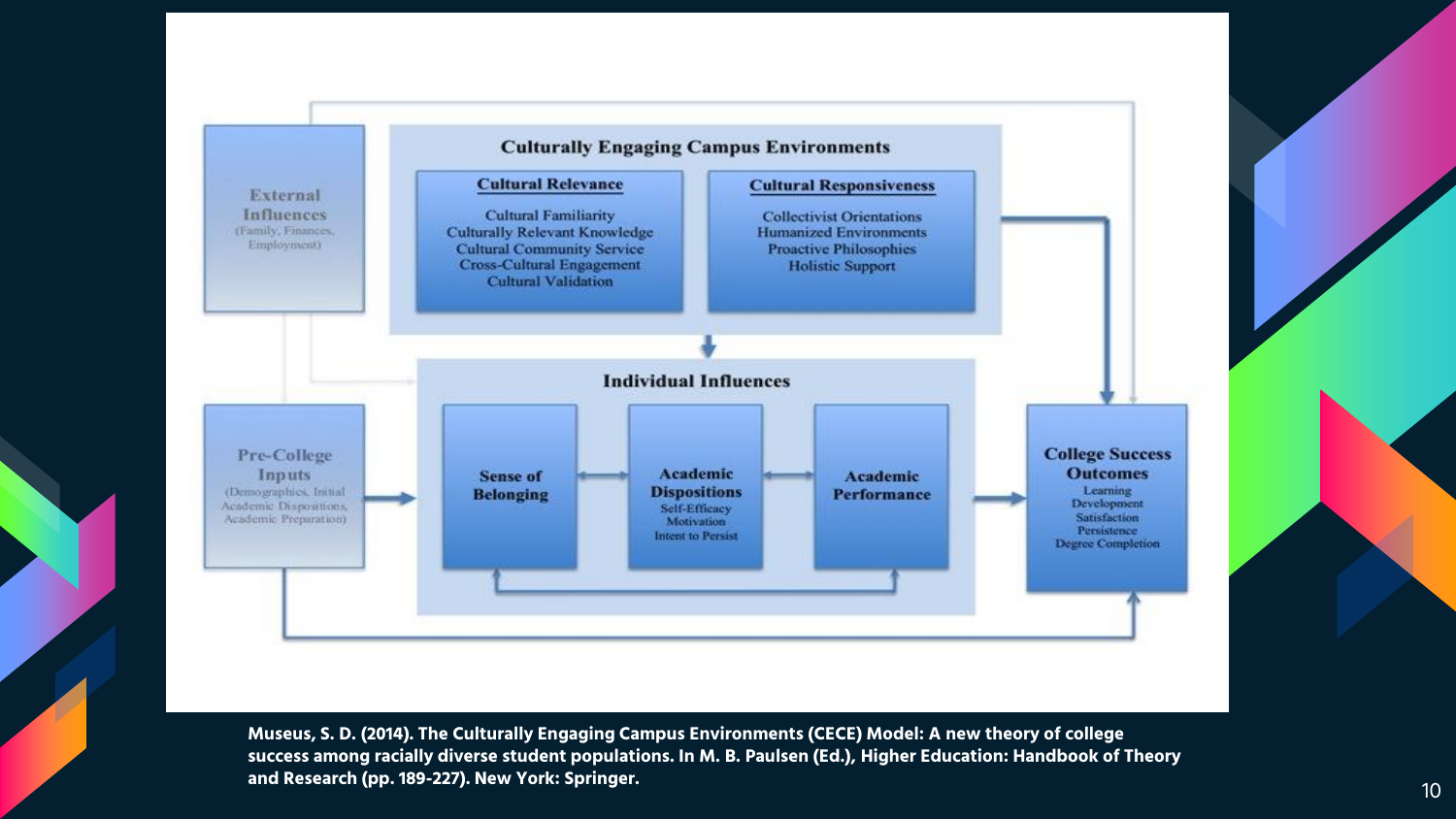

**Museus, S. D. (2014). The Culturally Engaging Campus Environments (CECE) Model: A new theory of college success among racially diverse student populations. In M. B. Paulsen (Ed.), Higher Education: Handbook of Theory and Research (pp. 189 -227). New York: Springer.** <sup>10</sup>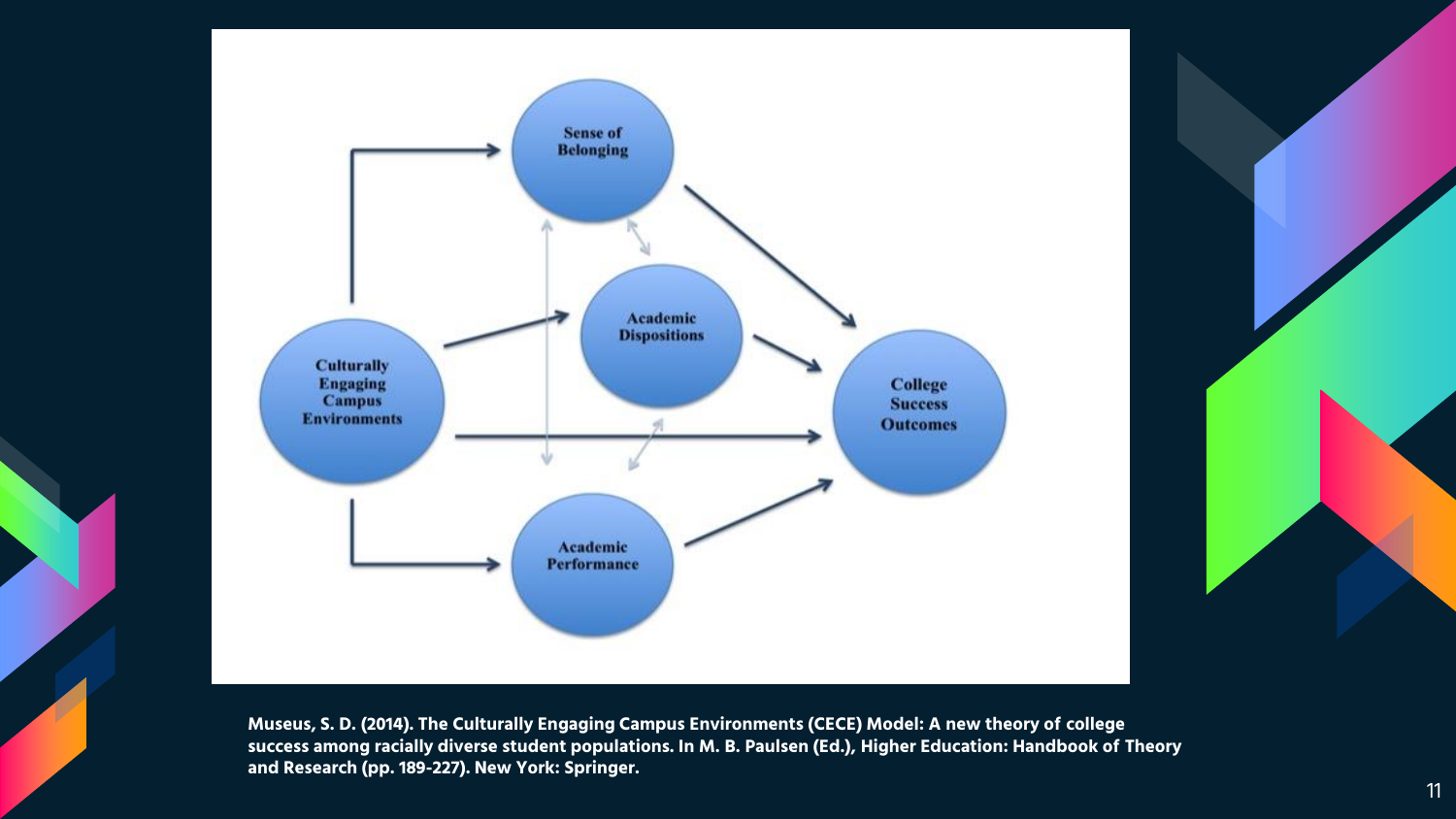

**Museus, S. D. (2014). The Culturally Engaging Campus Environments (CECE) Model: A new theory of college success among racially diverse student populations. In M. B. Paulsen (Ed.), Higher Education: Handbook of Theory and Research (pp. 189 -227). New York: Springer.**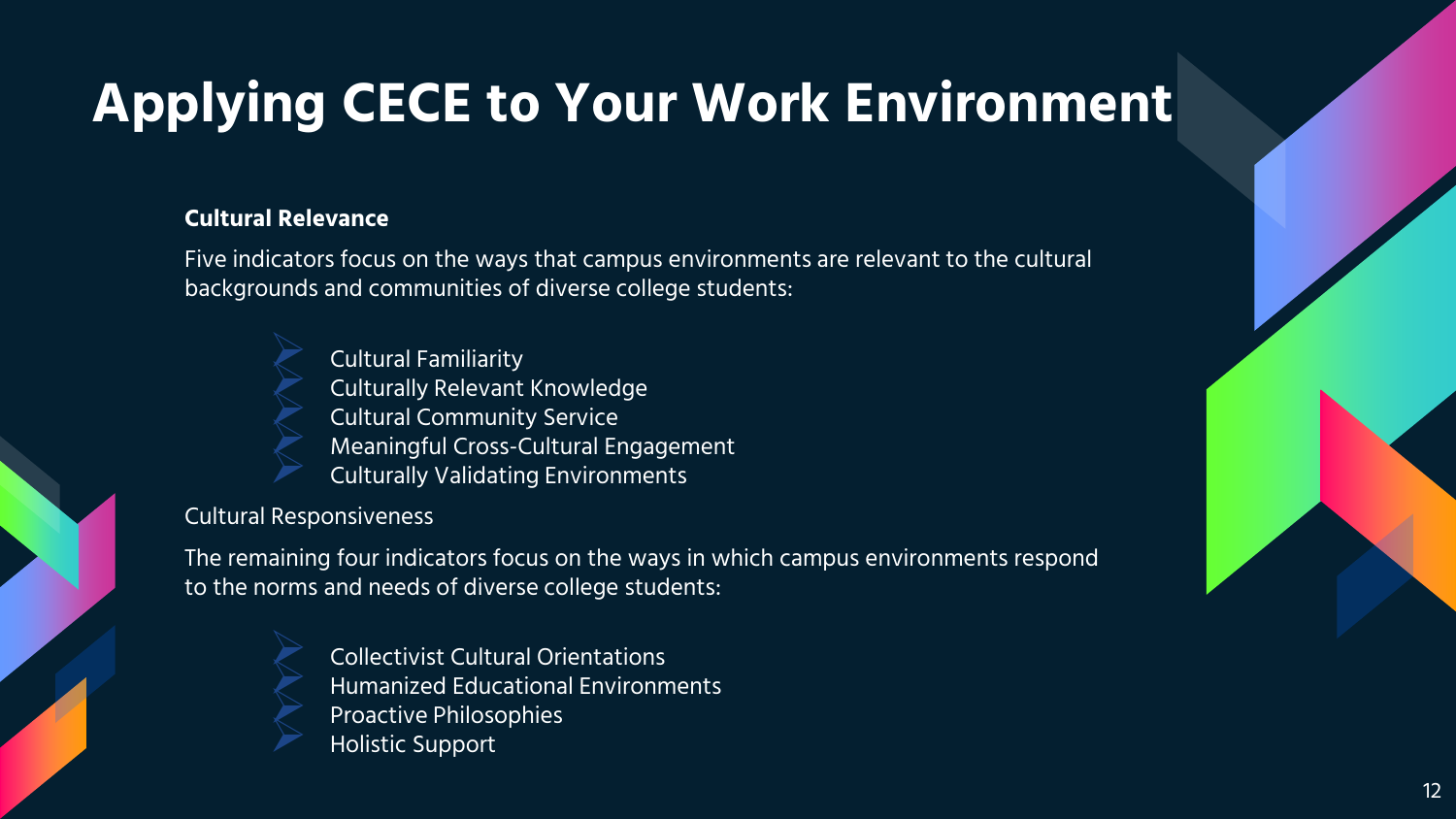## **Applying CECE to Your Work Environment**

#### **Cultural Relevance**

Five indicators focus on the ways that campus environments are relevant to the cultural backgrounds and communities of diverse college students:

Cultural Familiarity<br> Culturally Relevant Knowledge<br> Cultural Community Service<br> Meaningful Cross-Cultural Engagement<br> Culturally Validating Environments

#### Cultural Responsiveness

The remaining four indicators focus on the ways in which campus environments respond to the norms and needs of diverse college students:

Collectivist Cultural Orientations Humanized Educational Environments Proactive Philosophies Holistic Support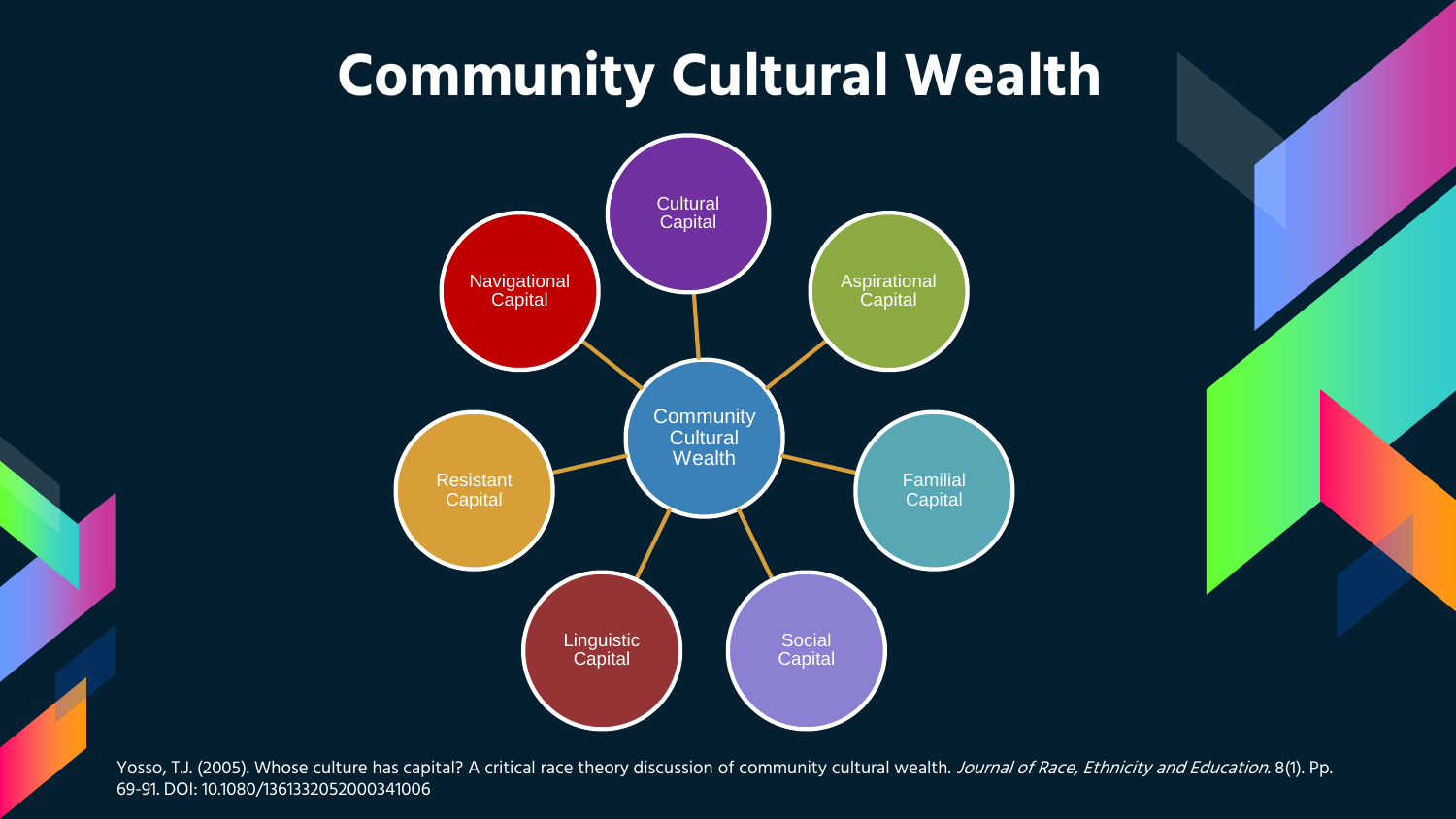### **Community Cultural Wealth**



Yosso, T.J. (2005). Whose culture has capital? A critical race theory discussion of community cultural wealth. Journal of Race, Ethnicity and Education. 8(1). Pp. 69-91. DOI: 10.1080/1361332052000341006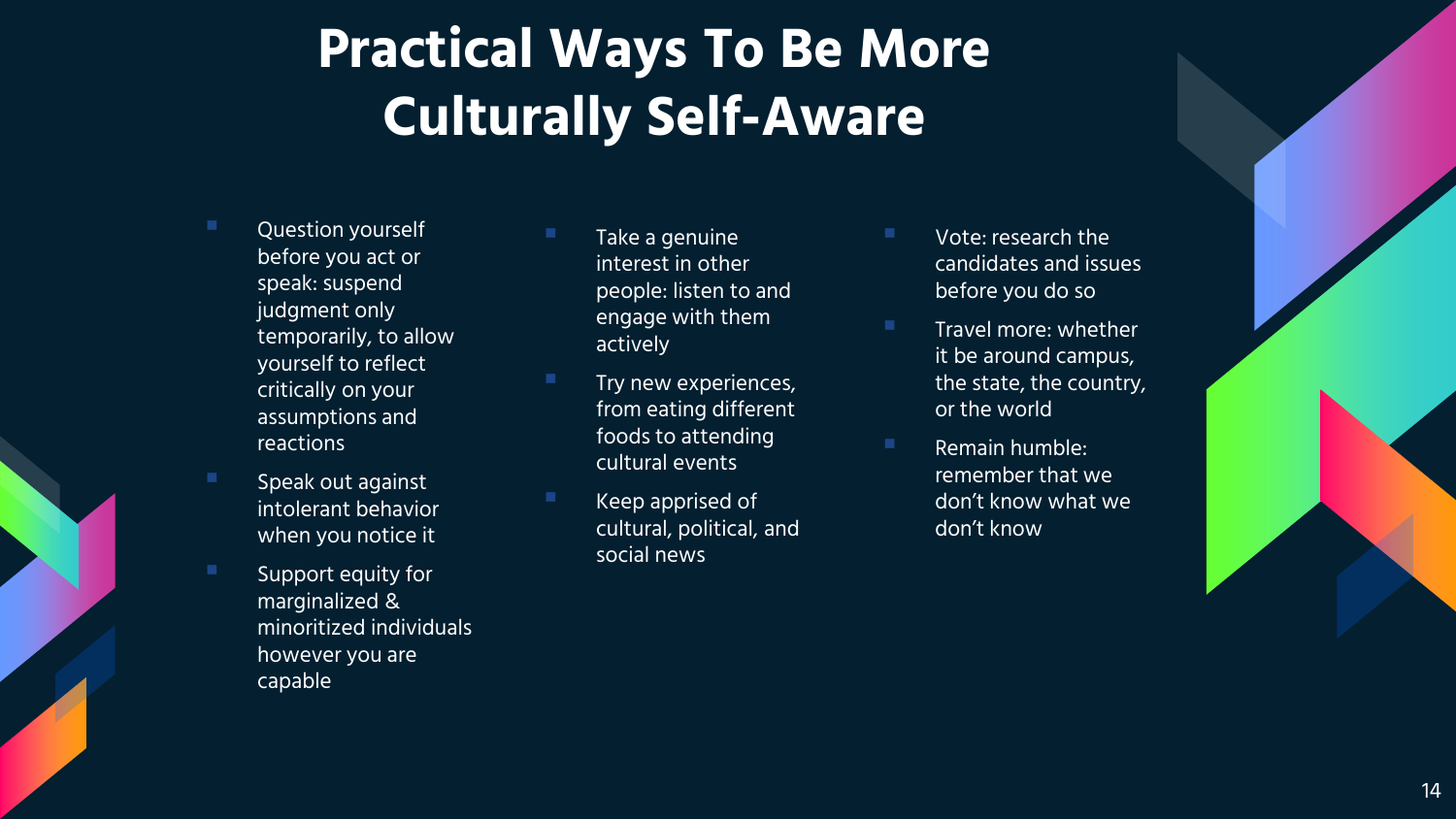#### **Practical Ways To Be More Culturally Self-Aware**

- Question yourself before you act or speak: suspend judgment only temporarily, to allow yourself to reflect critically on your assumptions and reactions
- Speak out against intolerant behavior when you notice it
- Support equity for marginalized & minoritized individuals however you are capable
- Take a genuine interest in other people: listen to and engage with them actively
- Try new experiences, from eating different foods to attending cultural events
- Keep apprised of cultural, political, and social news
- Vote: research the candidates and issues before you do so
- **Travel more: whether** it be around campus, the state, the country, or the world
- $\blacksquare$  Remain humble: remember that we don't know what we don't know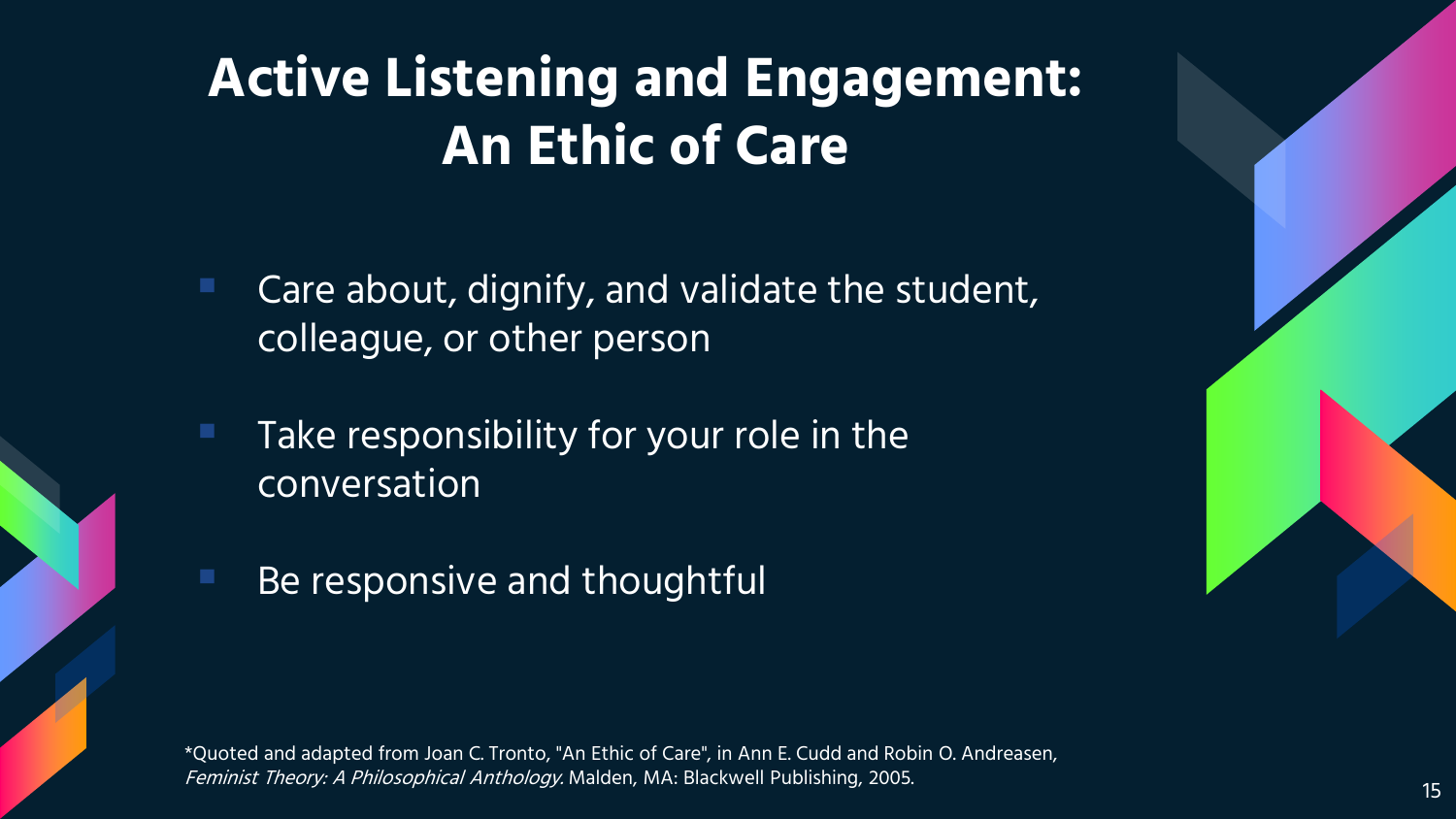#### **Active Listening and Engagement: An Ethic of Care**

- Care about, dignify, and validate the student, colleague, or other person
- Take responsibility for your role in the conversation
- Be responsive and thoughtful

\*Quoted and adapted from Joan C. Tronto, "An Ethic of Care", in Ann E. Cudd and Robin O. Andreasen, Feminist Theory: A Philosophical Anthology. Malden, MA: Blackwell Publishing, 2005. <sup>15</sup>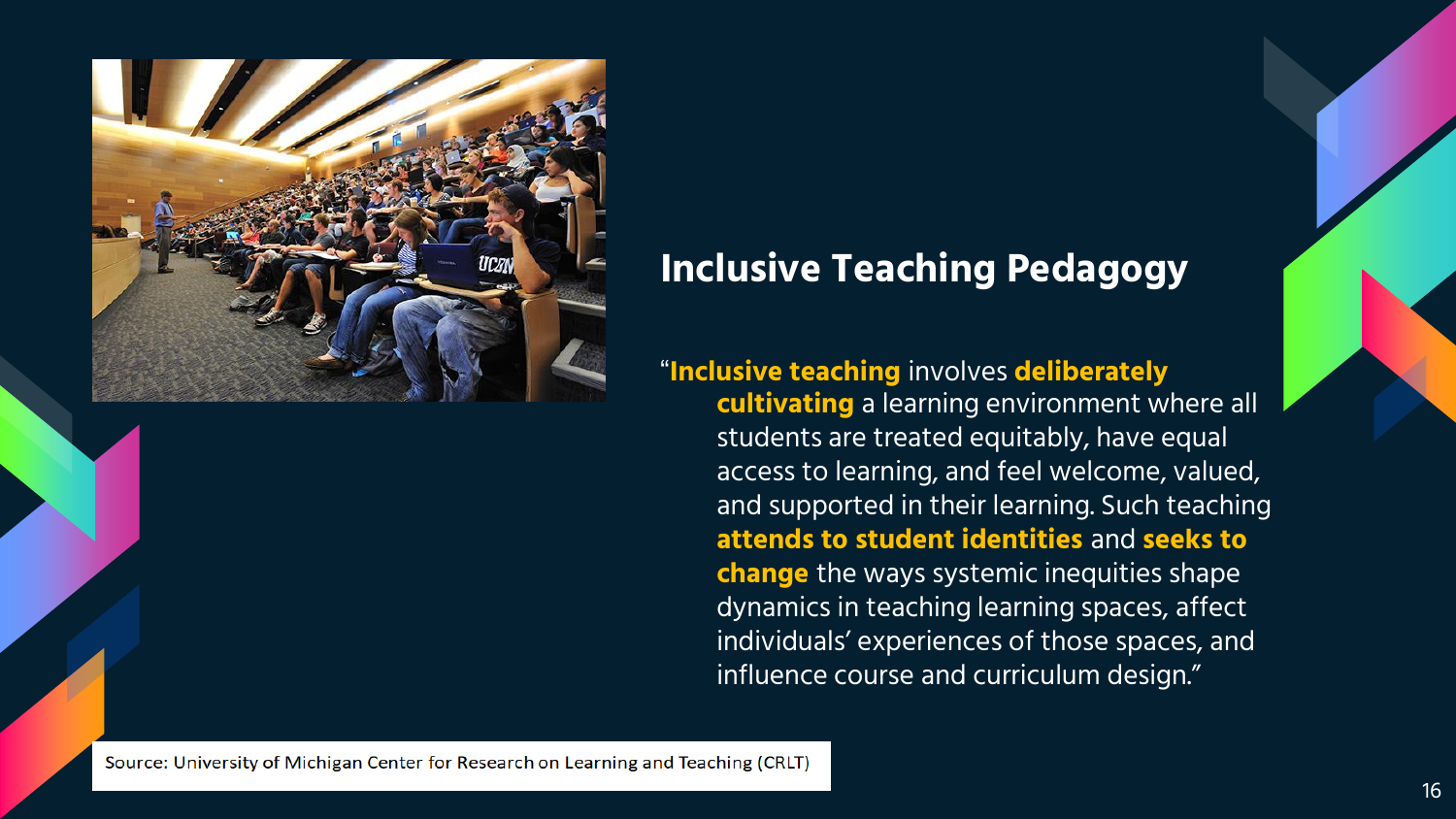

#### **Inclusive Teaching Pedagogy**

"**Inclusive teaching** involves **deliberately cultivating** a learning environment where all students are treated equitably, have equal access to learning, and feel welcome, valued, and supported in their learning. Such teaching **attends to student identities** and **seeks to change** the ways systemic inequities shape dynamics in teaching learning spaces, affect individuals' experiences of those spaces, and influence course and curriculum design."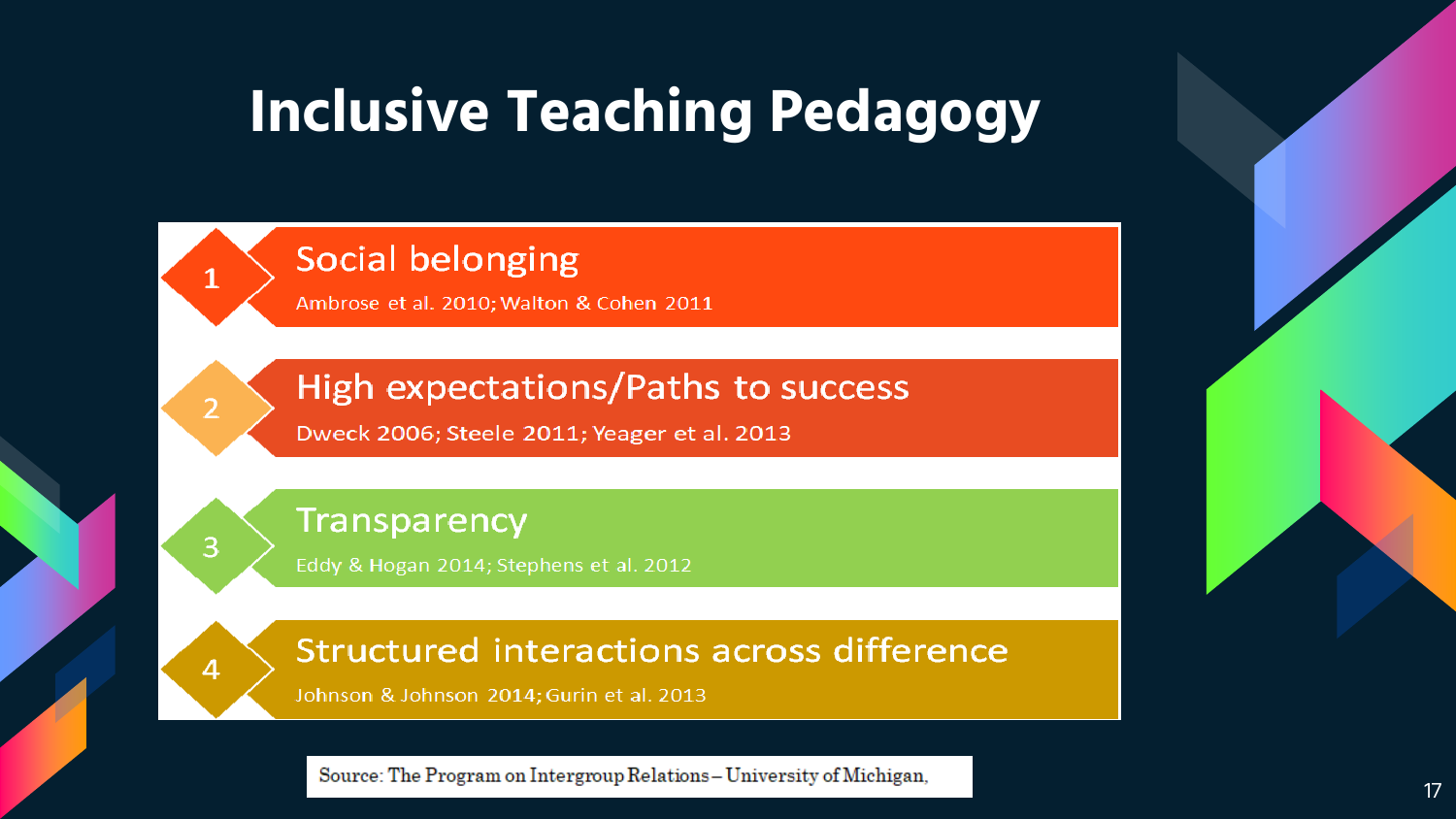## **Inclusive Teaching Pedagogy**



Source: The Program on Intergroup Relations-University of Michigan,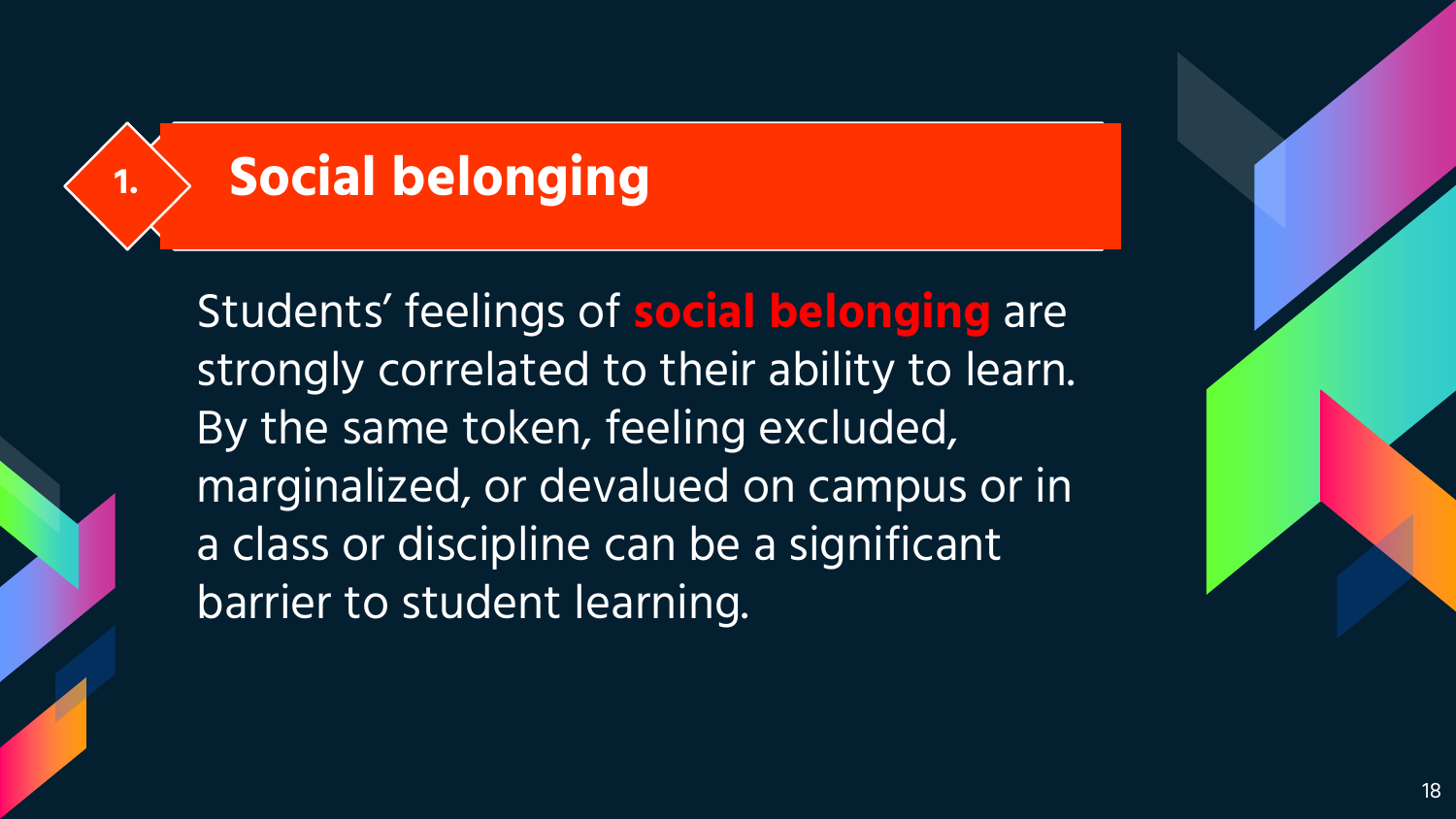## **1. Social belonging**

Students' feelings of **social belonging** are strongly correlated to their ability to learn. By the same token, feeling excluded, marginalized, or devalued on campus or in a class or discipline can be a significant barrier to student learning.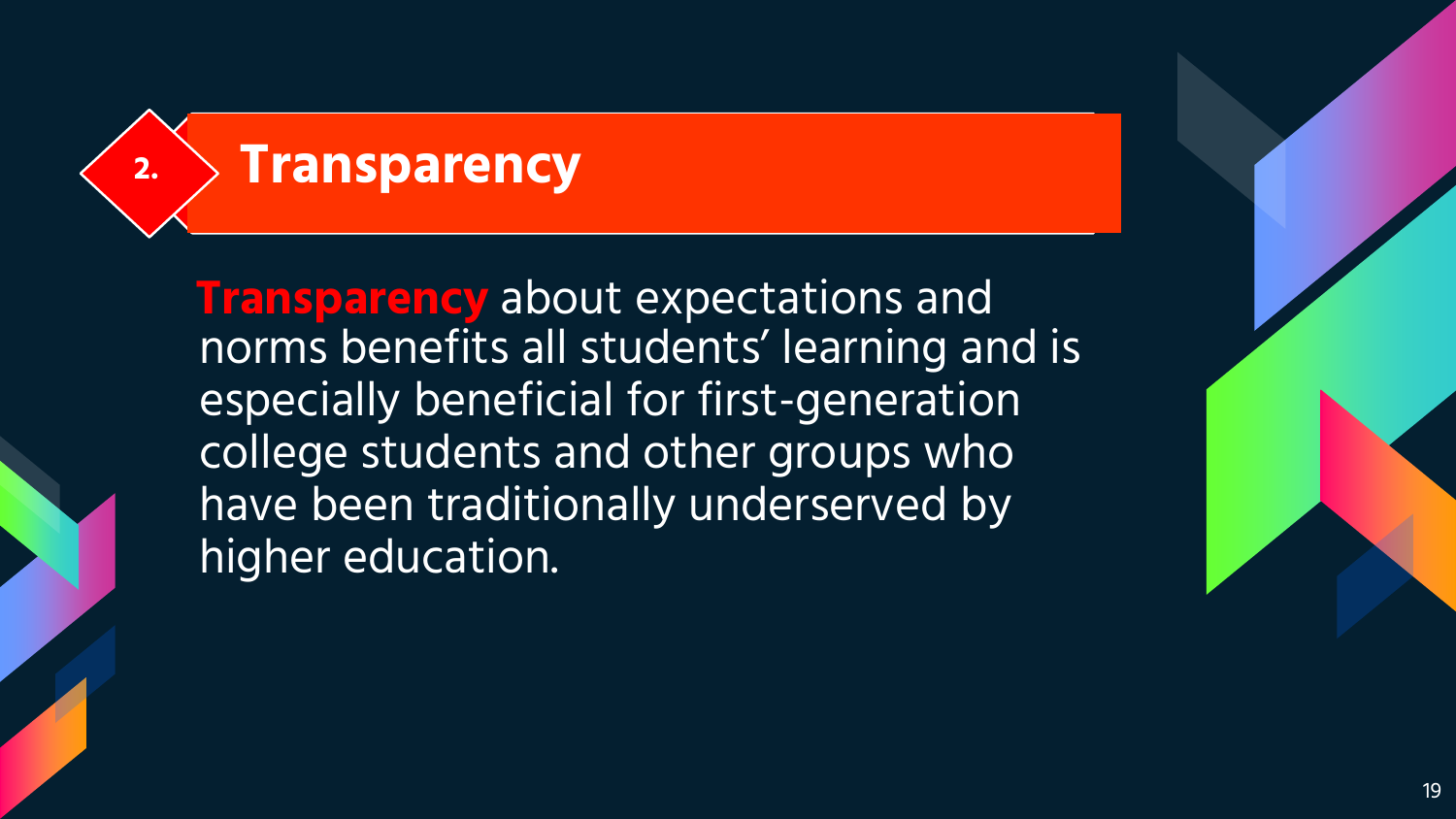#### **2. Transparency**

**Transparency** about expectations and norms benefits all students' learning and is especially beneficial for first-generation college students and other groups who have been traditionally underserved by higher education.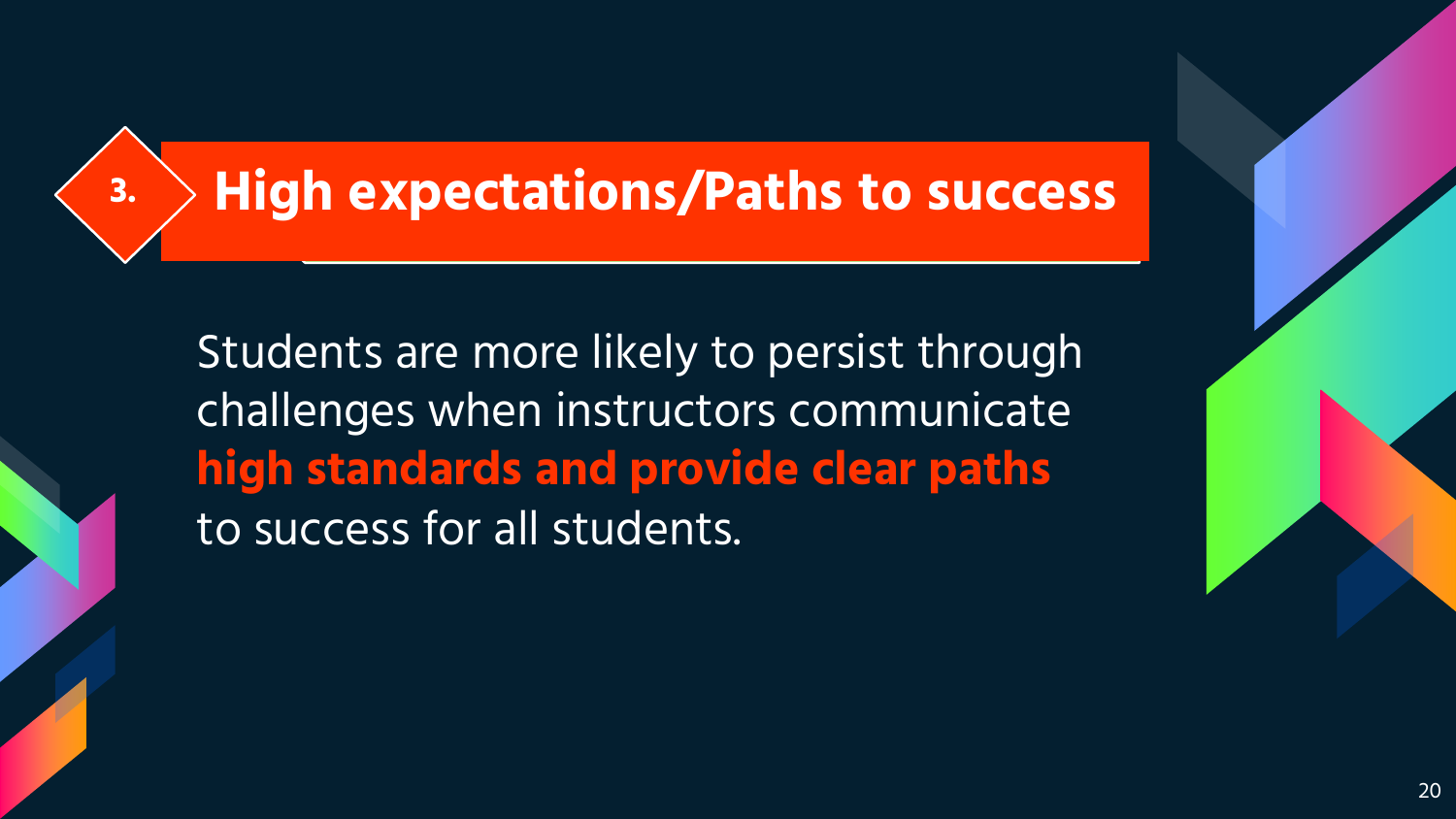#### **3. High expectations/Paths to success**

Students are more likely to persist through challenges when instructors communicate **high standards and provide clear paths**  to success for all students.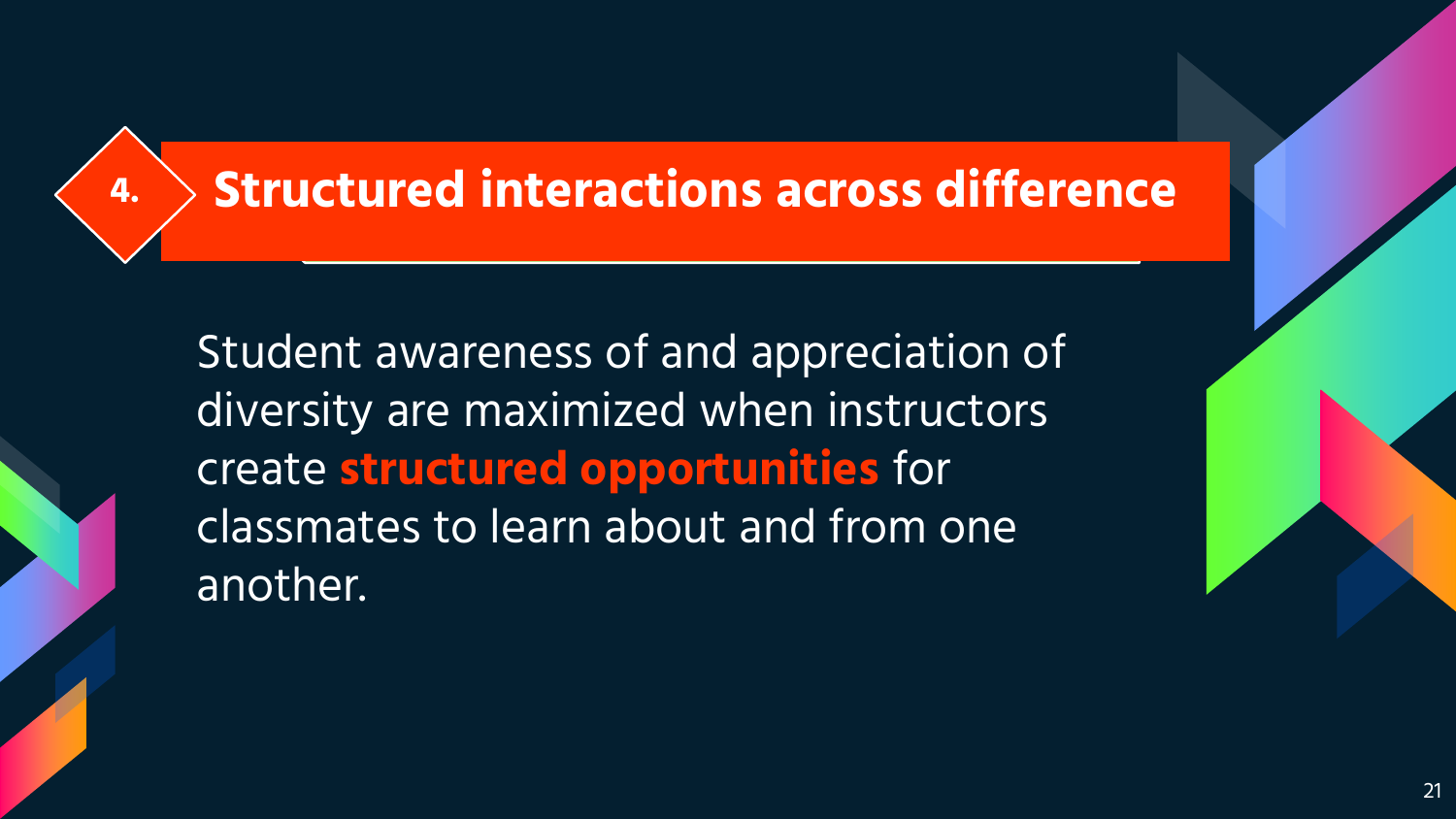#### **4. Structured interactions across difference**

Student awareness of and appreciation of diversity are maximized when instructors create **structured opportunities** for classmates to learn about and from one another.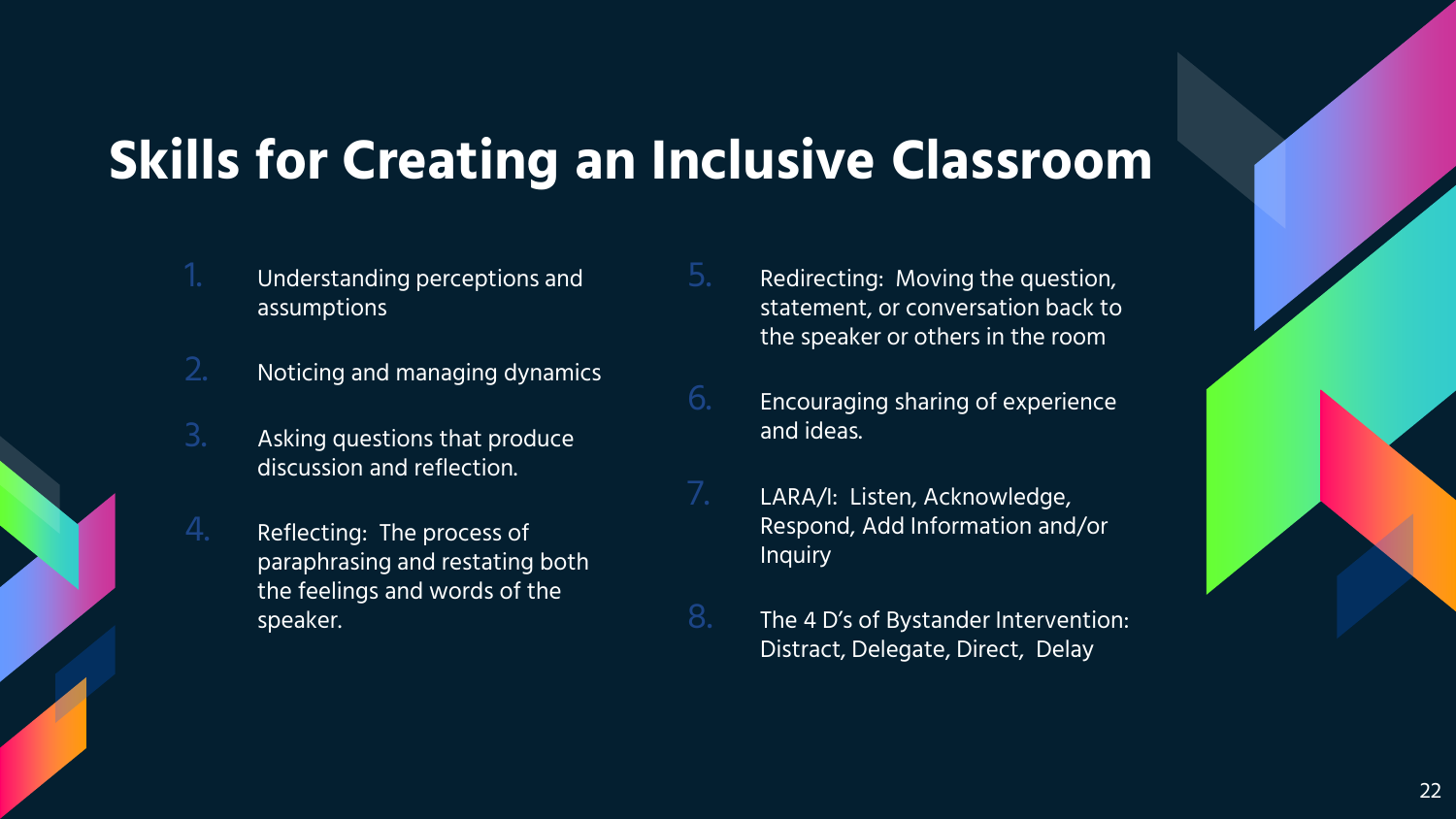#### **Skills for Creating an Inclusive Classroom**

- Understanding perceptions and assumptions
- 2. Noticing and managing dynamics
- 3. Asking questions that produce discussion and reflection.
	- Reflecting: The process of paraphrasing and restating both the feelings and words of the speaker.
- 5. Redirecting: Moving the question, statement, or conversation back to the speaker or others in the room
- 6. Encouraging sharing of experience and ideas.
- $\overline{7}$ . LARA/I: Listen, Acknowledge, Respond, Add Information and/or Inquiry
- 8. The 4 D's of Bystander Intervention: Distract, Delegate, Direct, Delay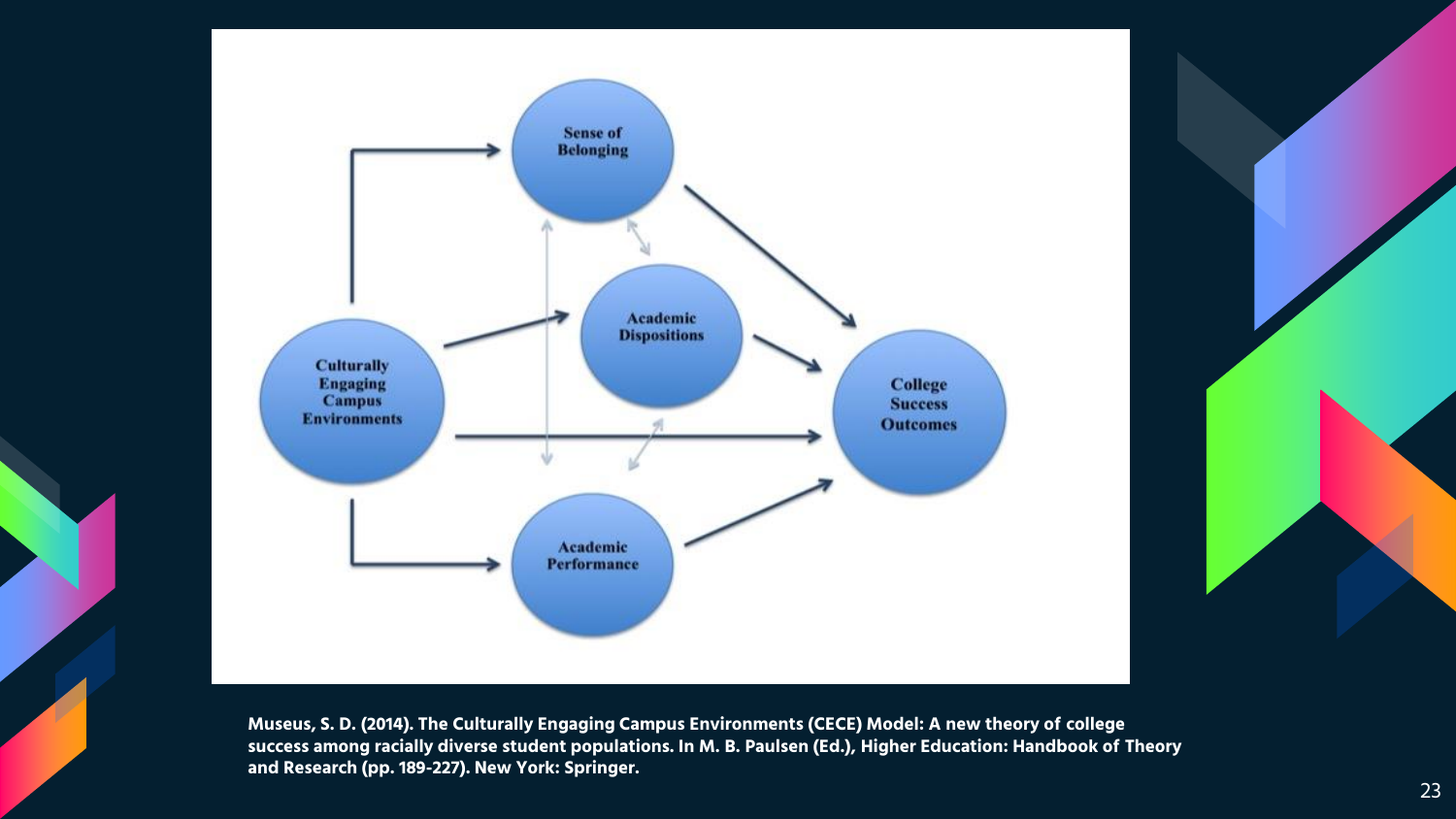

**Museus, S. D. (2014). The Culturally Engaging Campus Environments (CECE) Model: A new theory of college success among racially diverse student populations. In M. B. Paulsen (Ed.), Higher Education: Handbook of Theory and Research (pp. 189 -227). New York: Springer.**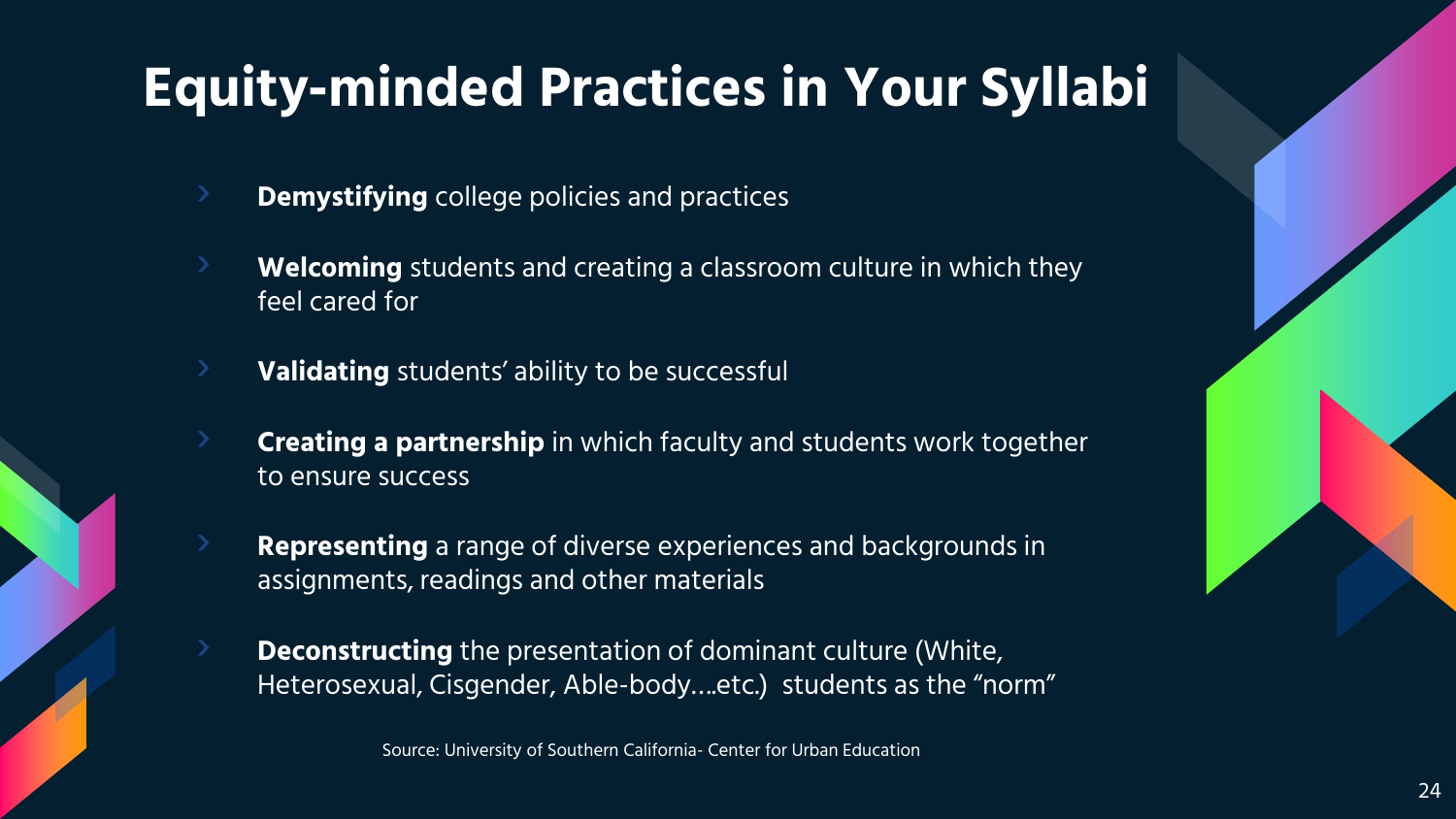## **Equity-minded Practices in Your Syllabi**

- **Demystifying** college policies and practices
- **Welcoming** students and creating a classroom culture in which they feel cared for
	- **Validating** students' ability to be successful
		- **Creating a partnership** in which faculty and students work together to ensure success
		- **Representing** a range of diverse experiences and backgrounds in assignments, readings and other materials
	- **Deconstructing** the presentation of dominant culture (White, Heterosexual, Cisgender, Able-body….etc.) students as the "norm"

Source: University of Southern California- Center for Urban Education